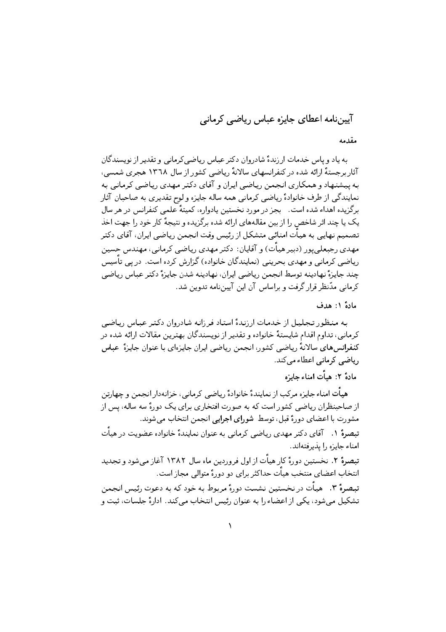آییننامه اعطای جایزه عباس ریاضی کرمانی

مقدمه

به یاد و پاس خدمات ارزندهٔ شادروان دکتر عباس ریاضی کرمانی و تقدیر از نویسندگان آثار برجستهٔ ارائه شده در کنفرانسهای سالانهٔ ریاضی کشور از سال ۱۳٦۸ هجری شمسی، به پیشنهاد و همکاری انجمن ریاضی ایران و آقای دکتر مهدی ریاضی کرمانی به نمایندگی از طرف خانوادهٔ ریاضی کرمانی همه ساله جایزه و لوح تقدیری به صاحبان آثار برگزیده اهداء شده است. \_ بجز در مورد نخستین یادواره، کمیتهٔ علمی کنفرانس در هر سال یک یا چند اثر شاخص را از بین مقالههای ارائه شده برگزیده و نتیجهٔ کار خود را جهت اخذ تصمیم نهایی به هیأت امنائی متشکل از رئیس وقت انجمن ریاضی ایران، آقای دکتر مهدی رجیعلے،پور (دبیر هیأت) و آقایان: دکتر مهدی ریاضی کرمانی، مهندس حسین ریاضی کرمانی و مهدی بحرینی (نمایندگان خانواده) گزارش کرده است. در پی تأسیس چند جايزهٔ نهادينه توسط انجمن رياضي ايران، نهادينه شدن جايزهٔ دكتر عباس رياضي کرمانی مدّنظر قرار گرفت و براساس آن این آییننامه تدوین شد.

مادة ١: هدف

به منظور تجليل از خدمات ارزندهٔ استاد فرزانه شادروان دکتر عباس رياضي کرمانی، تداوم اقدام شایستهٔ خانواده و تقدیر از نویسندگان بهترین مقالات ارائه شده در كنفرانس هاي سالانهٔ رياضي كشور، انجمن رياضي ايران جايزهاي با عنوان جايزهٔ عباس ریاضی کرمانی اعطاء مے کند.

مادةً ٢: هيأت امناء جايزه

هیأت امناء جایزه مرکب از نمایندهٔ خانوادهٔ ریاضیی کرمانیی، خزانهدارانجمن و چهارتن از صاحبنظران ریاضی کشور است که به صورت افتخاری برای یک دورهٔ سه ساله، پس از مشورت با اعضای دورهٔ قبل، توسط ۖ شورای اجرایی انجمن انتخاب می شوند. تبصرهٔ ۱. آقای دکتر مهدی ریاضی کرمانی به عنوان نمایندهٔ خانواده عضویت در هیأت

امناء جايزه را يذيرفتهاند.

تبصرهٔ ۲. نخستین دورهٔ کار هیأت از اول فروردین ماه سال ۱۳۸۲ آغاز می شود و تجدید انتخاب اعضای منتخب هیأت حداکثر برای دو دورهٔ متوالی مجاز است.

تبصرهٔ ۳. هیات در نخستین نشست دورهٔ مربوط به خود که به دعوت رئیس انجمن تشکیل می شود، یکی از اعضاء را به عنوان رئیس انتخاب می کند. ادارهٔ جلسات، ثبت و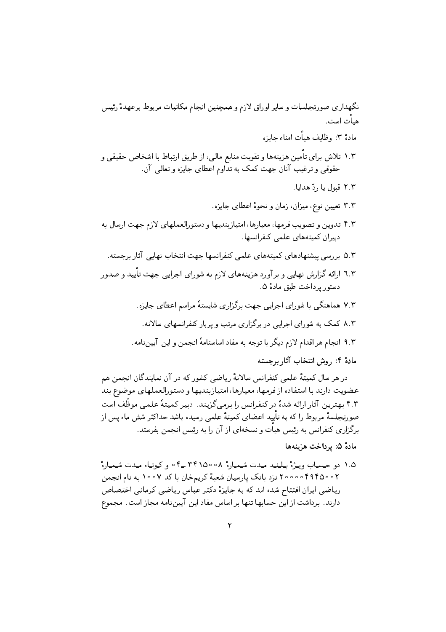نگهداري صورتجلسات وساير اوراق لازم وهمچنين انجام مكاتبات مربوط برعهدهٔ رئيس هيأت است .

مادةً ٣: وظايف هيأت إمناء جايزه

۱.۳ تلاش براي تأمين هزينهها و تقويت منابع مالي، از طريق ارتباط با اشخاص حقيقي و حقوقی و ترغیب آنان جهت کمک به تداوم اعطای جایزه و تعالی آن.

٢.٢ قبول يا ,دّ هدايا.

- ۳.۳ تعیین نوع، میزان، زمان و نحوهٔ اعطای جایزه.
- ۴.۳ تدوین و تصویب فرمها، معیارها، امتیازبندیها و دستورالعملهای لازم جهت ارسال به دبیران کمیتههای علمی کنفرانسها.
	- ۵.۳ بررسی پیشنهادهای کمیتههای علمی کنفرانسها جهت انتخاب نهایی آثار برجسته.
- ٦.٣ ارائه گزارش نهایبی و بر آورد هزینههای لازم به شورای اجرایبی جهت تایید و صدور دستور پرداخت طبق مادهٔ ۵.
	- ۷.۳ هماهنگی با شورای اجرایی جهت برگزاری شایستهٔ مراسم اعطای جایزه.
	- ۸.۲ کمک به شورای اجرایی در برگزاری مرتب و پربار کنفرانسهای سالانه.
	- ۹.۳ انجام هر اقدام لازم دیگر با توجه به مفاد اساسنامهٔ انجمن و این آیین نامه.

مادهٔ ۴: روش انتخاب آثار برجسته

در هر سال کمیتهٔ علمی کنفرانس سالانهٔ ریاضی کشور که در آن نمایندگان انجمن هم عضويت دارند با استفاده از فرمها، معيارها، امتيازبنديها و دستورالعملهاي موضوع بند ۴.۲ بهترین آثارارائه شدهٔ در کنفرانس را برمیگزیند. دبیر کمیتهٔ علمی موظّف است صورتجلسهٔ مربوط را که به تأیید اعضای کمیتهٔ علمی رسیده باشد حداکثر شش ماه پس از برگزاری کنفرانس به رئیس هیات و نسخهای از آن را به رئیس انجمن بفرستد.

## مادهٔ ۵: برداخت هزینهها

۱.۵ دو حساب ویژهٔ بلند مدت شـمـارهٔ ۵۰∘۳۴۱۵۰ ـ۴۰ و کـوتـاه مـدت شـمـارهٔ ۰۲ه ۲۰۰۵۴۹۴۵۰۰ نزد بانک پارسیان شعبهٔ کریمخان با کد ۱۰۰۷ به نام انجمن ریاضی ایران افتتاح شده اند که به جایزهٔ دکتر عباس ریاضی کرمانی اختصاص دارند. برداشت از این حسابها تنها بر اساس مفاد این آییننامه مجاز است. مجموع